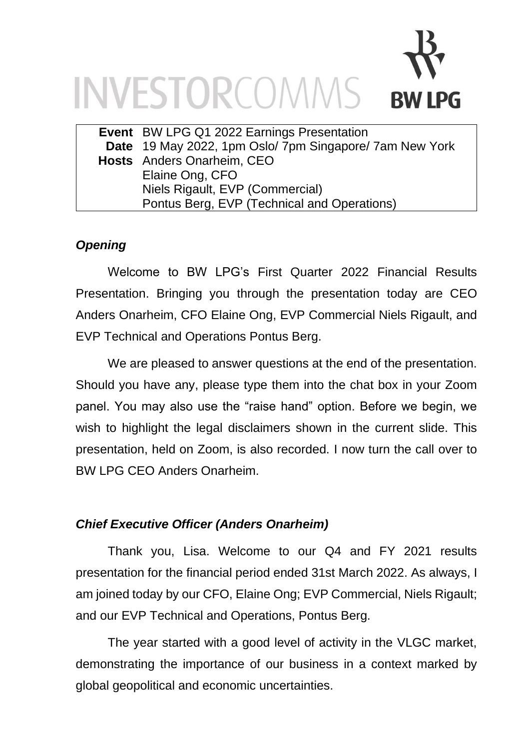# INVESTORCOMMS **RW LPG**

| Event BW LPG Q1 2022 Earnings Presentation              |
|---------------------------------------------------------|
| Date 19 May 2022, 1pm Oslo/ 7pm Singapore/ 7am New York |
| <b>Hosts</b> Anders Onarheim, CEO                       |
| Elaine Ong, CFO                                         |
| Niels Rigault, EVP (Commercial)                         |
| Pontus Berg, EVP (Technical and Operations)             |

# *Opening*

Welcome to BW LPG's First Quarter 2022 Financial Results Presentation. Bringing you through the presentation today are CEO Anders Onarheim, CFO Elaine Ong, EVP Commercial Niels Rigault, and EVP Technical and Operations Pontus Berg.

We are pleased to answer questions at the end of the presentation. Should you have any, please type them into the chat box in your Zoom panel. You may also use the "raise hand" option. Before we begin, we wish to highlight the legal disclaimers shown in the current slide. This presentation, held on Zoom, is also recorded. I now turn the call over to BW LPG CEO Anders Onarheim.

### *Chief Executive Officer (Anders Onarheim)*

Thank you, Lisa. Welcome to our Q4 and FY 2021 results presentation for the financial period ended 31st March 2022. As always, I am joined today by our CFO, Elaine Ong; EVP Commercial, Niels Rigault; and our EVP Technical and Operations, Pontus Berg.

The year started with a good level of activity in the VLGC market, demonstrating the importance of our business in a context marked by global geopolitical and economic uncertainties.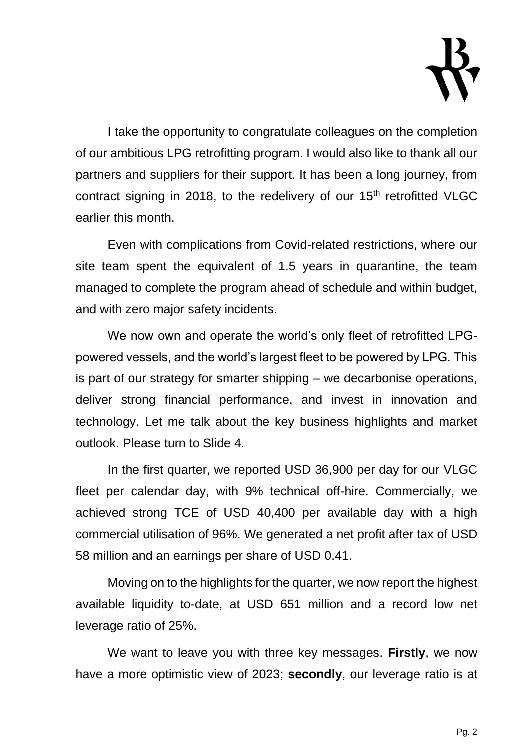

I take the opportunity to congratulate colleagues on the completion of our ambitious LPG retrofitting program. I would also like to thank all our partners and suppliers for their support. It has been a long journey, from contract signing in 2018, to the redelivery of our  $15<sup>th</sup>$  retrofitted VLGC earlier this month.

Even with complications from Covid-related restrictions, where our site team spent the equivalent of 1.5 years in quarantine, the team managed to complete the program ahead of schedule and within budget, and with zero major safety incidents.

We now own and operate the world's only fleet of retrofitted LPGpowered vessels, and the world's largest fleet to be powered by LPG. This is part of our strategy for smarter shipping – we decarbonise operations, deliver strong financial performance, and invest in innovation and technology. Let me talk about the key business highlights and market outlook. Please turn to Slide 4.

In the first quarter, we reported USD 36,900 per day for our VLGC fleet per calendar day, with 9% technical off-hire. Commercially, we achieved strong TCE of USD 40,400 per available day with a high commercial utilisation of 96%. We generated a net profit after tax of USD 58 million and an earnings per share of USD 0.41.

Moving on to the highlights for the quarter, we now report the highest available liquidity to-date, at USD 651 million and a record low net leverage ratio of 25%.

We want to leave you with three key messages. **Firstly**, we now have a more optimistic view of 2023; **secondly**, our leverage ratio is at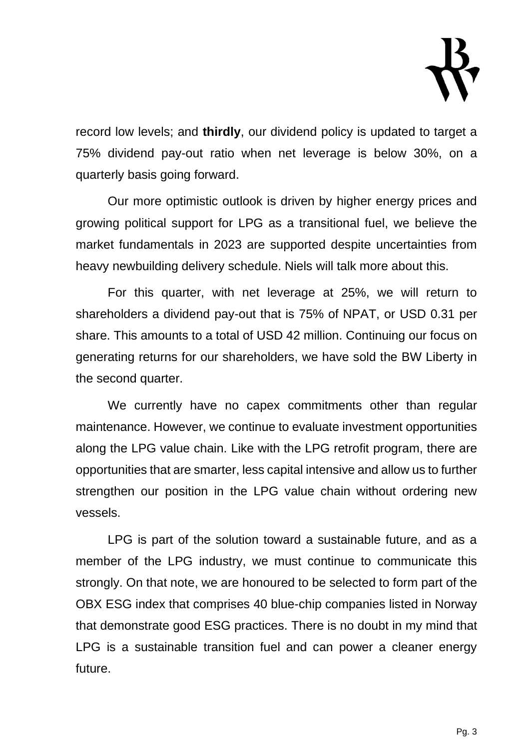

record low levels; and **thirdly**, our dividend policy is updated to target a 75% dividend pay-out ratio when net leverage is below 30%, on a quarterly basis going forward.

Our more optimistic outlook is driven by higher energy prices and growing political support for LPG as a transitional fuel, we believe the market fundamentals in 2023 are supported despite uncertainties from heavy newbuilding delivery schedule. Niels will talk more about this.

For this quarter, with net leverage at 25%, we will return to shareholders a dividend pay-out that is 75% of NPAT, or USD 0.31 per share. This amounts to a total of USD 42 million. Continuing our focus on generating returns for our shareholders, we have sold the BW Liberty in the second quarter.

We currently have no capex commitments other than regular maintenance. However, we continue to evaluate investment opportunities along the LPG value chain. Like with the LPG retrofit program, there are opportunities that are smarter, less capital intensive and allow us to further strengthen our position in the LPG value chain without ordering new vessels.

LPG is part of the solution toward a sustainable future, and as a member of the LPG industry, we must continue to communicate this strongly. On that note, we are honoured to be selected to form part of the OBX ESG index that comprises 40 blue-chip companies listed in Norway that demonstrate good ESG practices. There is no doubt in my mind that LPG is a sustainable transition fuel and can power a cleaner energy future.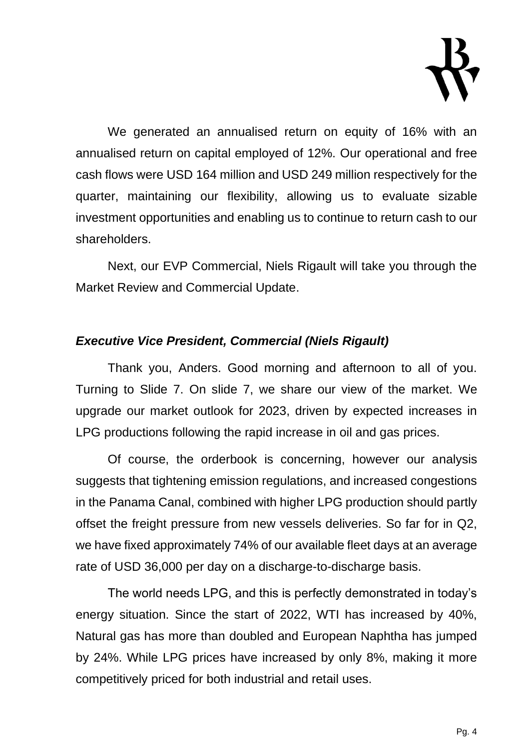

We generated an annualised return on equity of 16% with an annualised return on capital employed of 12%. Our operational and free cash flows were USD 164 million and USD 249 million respectively for the quarter, maintaining our flexibility, allowing us to evaluate sizable investment opportunities and enabling us to continue to return cash to our shareholders.

Next, our EVP Commercial, Niels Rigault will take you through the Market Review and Commercial Update.

#### *Executive Vice President, Commercial (Niels Rigault)*

Thank you, Anders. Good morning and afternoon to all of you. Turning to Slide 7. On slide 7, we share our view of the market. We upgrade our market outlook for 2023, driven by expected increases in LPG productions following the rapid increase in oil and gas prices.

Of course, the orderbook is concerning, however our analysis suggests that tightening emission regulations, and increased congestions in the Panama Canal, combined with higher LPG production should partly offset the freight pressure from new vessels deliveries. So far for in Q2, we have fixed approximately 74% of our available fleet days at an average rate of USD 36,000 per day on a discharge-to-discharge basis.

The world needs LPG, and this is perfectly demonstrated in today's energy situation. Since the start of 2022, WTI has increased by 40%, Natural gas has more than doubled and European Naphtha has jumped by 24%. While LPG prices have increased by only 8%, making it more competitively priced for both industrial and retail uses.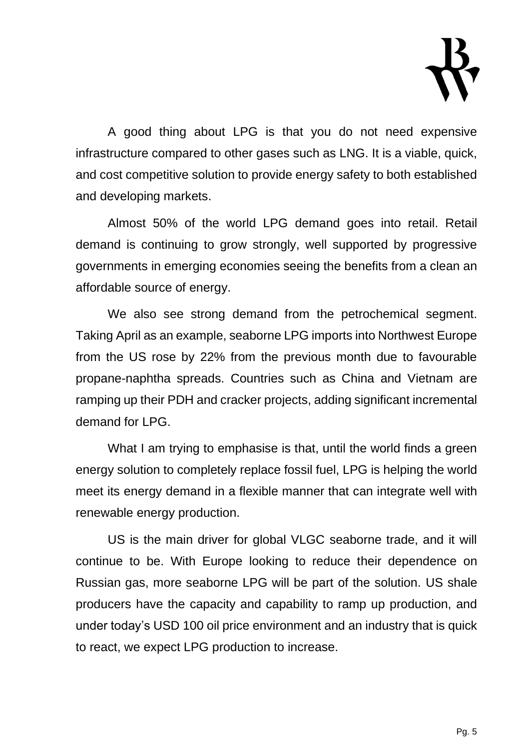

A good thing about LPG is that you do not need expensive infrastructure compared to other gases such as LNG. It is a viable, quick, and cost competitive solution to provide energy safety to both established and developing markets.

Almost 50% of the world LPG demand goes into retail. Retail demand is continuing to grow strongly, well supported by progressive governments in emerging economies seeing the benefits from a clean an affordable source of energy.

We also see strong demand from the petrochemical segment. Taking April as an example, seaborne LPG imports into Northwest Europe from the US rose by 22% from the previous month due to favourable propane-naphtha spreads. Countries such as China and Vietnam are ramping up their PDH and cracker projects, adding significant incremental demand for LPG.

What I am trying to emphasise is that, until the world finds a green energy solution to completely replace fossil fuel, LPG is helping the world meet its energy demand in a flexible manner that can integrate well with renewable energy production.

US is the main driver for global VLGC seaborne trade, and it will continue to be. With Europe looking to reduce their dependence on Russian gas, more seaborne LPG will be part of the solution. US shale producers have the capacity and capability to ramp up production, and under today's USD 100 oil price environment and an industry that is quick to react, we expect LPG production to increase.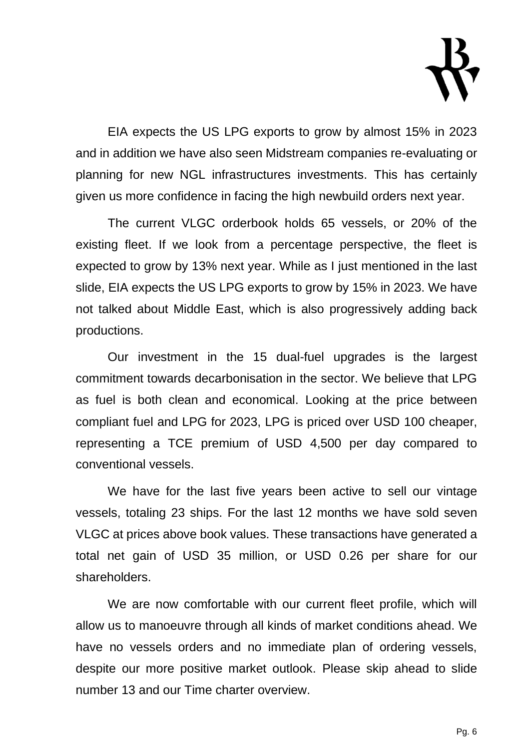

EIA expects the US LPG exports to grow by almost 15% in 2023 and in addition we have also seen Midstream companies re-evaluating or planning for new NGL infrastructures investments. This has certainly given us more confidence in facing the high newbuild orders next year.

The current VLGC orderbook holds 65 vessels, or 20% of the existing fleet. If we look from a percentage perspective, the fleet is expected to grow by 13% next year. While as I just mentioned in the last slide, EIA expects the US LPG exports to grow by 15% in 2023. We have not talked about Middle East, which is also progressively adding back productions.

Our investment in the 15 dual-fuel upgrades is the largest commitment towards decarbonisation in the sector. We believe that LPG as fuel is both clean and economical. Looking at the price between compliant fuel and LPG for 2023, LPG is priced over USD 100 cheaper, representing a TCE premium of USD 4,500 per day compared to conventional vessels.

We have for the last five years been active to sell our vintage vessels, totaling 23 ships. For the last 12 months we have sold seven VLGC at prices above book values. These transactions have generated a total net gain of USD 35 million, or USD 0.26 per share for our shareholders.

We are now comfortable with our current fleet profile, which will allow us to manoeuvre through all kinds of market conditions ahead. We have no vessels orders and no immediate plan of ordering vessels, despite our more positive market outlook. Please skip ahead to slide number 13 and our Time charter overview.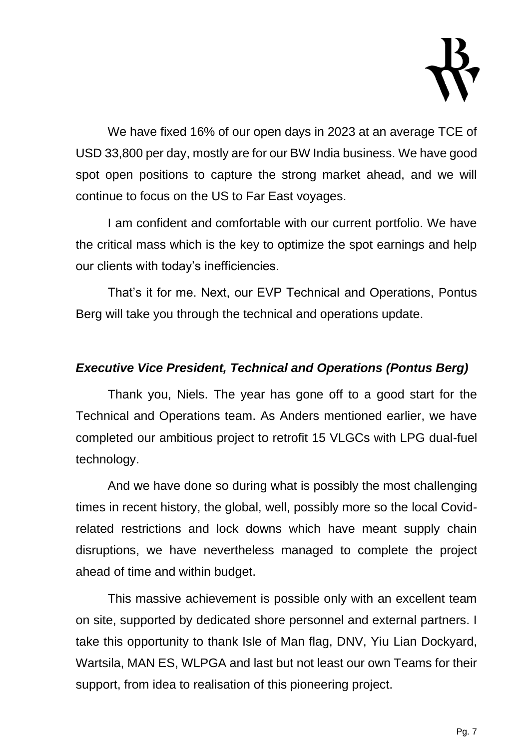

We have fixed 16% of our open days in 2023 at an average TCE of USD 33,800 per day, mostly are for our BW India business. We have good spot open positions to capture the strong market ahead, and we will continue to focus on the US to Far East voyages.

I am confident and comfortable with our current portfolio. We have the critical mass which is the key to optimize the spot earnings and help our clients with today's inefficiencies.

That's it for me. Next, our EVP Technical and Operations, Pontus Berg will take you through the technical and operations update.

#### *Executive Vice President, Technical and Operations (Pontus Berg)*

Thank you, Niels. The year has gone off to a good start for the Technical and Operations team. As Anders mentioned earlier, we have completed our ambitious project to retrofit 15 VLGCs with LPG dual-fuel technology.

And we have done so during what is possibly the most challenging times in recent history, the global, well, possibly more so the local Covidrelated restrictions and lock downs which have meant supply chain disruptions, we have nevertheless managed to complete the project ahead of time and within budget.

This massive achievement is possible only with an excellent team on site, supported by dedicated shore personnel and external partners. I take this opportunity to thank Isle of Man flag, DNV, Yiu Lian Dockyard, Wartsila, MAN ES, WLPGA and last but not least our own Teams for their support, from idea to realisation of this pioneering project.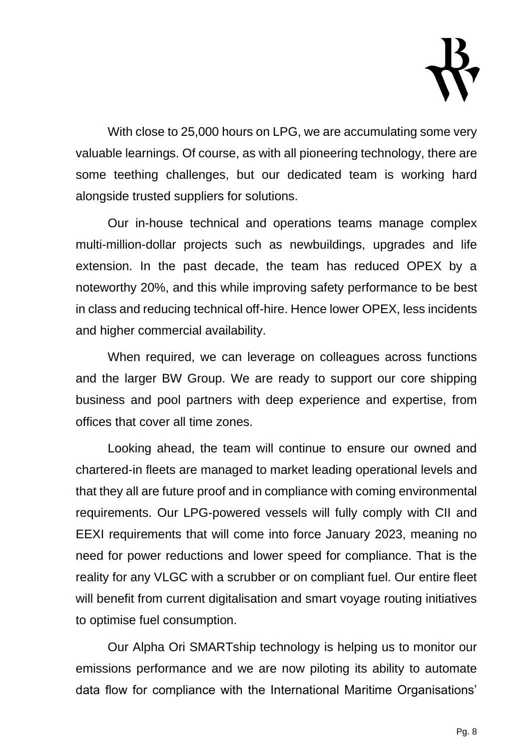

With close to 25,000 hours on LPG, we are accumulating some very valuable learnings. Of course, as with all pioneering technology, there are some teething challenges, but our dedicated team is working hard alongside trusted suppliers for solutions.

Our in-house technical and operations teams manage complex multi-million-dollar projects such as newbuildings, upgrades and life extension. In the past decade, the team has reduced OPEX by a noteworthy 20%, and this while improving safety performance to be best in class and reducing technical off-hire. Hence lower OPEX, less incidents and higher commercial availability.

When required, we can leverage on colleagues across functions and the larger BW Group. We are ready to support our core shipping business and pool partners with deep experience and expertise, from offices that cover all time zones.

Looking ahead, the team will continue to ensure our owned and chartered-in fleets are managed to market leading operational levels and that they all are future proof and in compliance with coming environmental requirements. Our LPG-powered vessels will fully comply with CII and EEXI requirements that will come into force January 2023, meaning no need for power reductions and lower speed for compliance. That is the reality for any VLGC with a scrubber or on compliant fuel. Our entire fleet will benefit from current digitalisation and smart voyage routing initiatives to optimise fuel consumption.

Our Alpha Ori SMARTship technology is helping us to monitor our emissions performance and we are now piloting its ability to automate data flow for compliance with the International Maritime Organisations'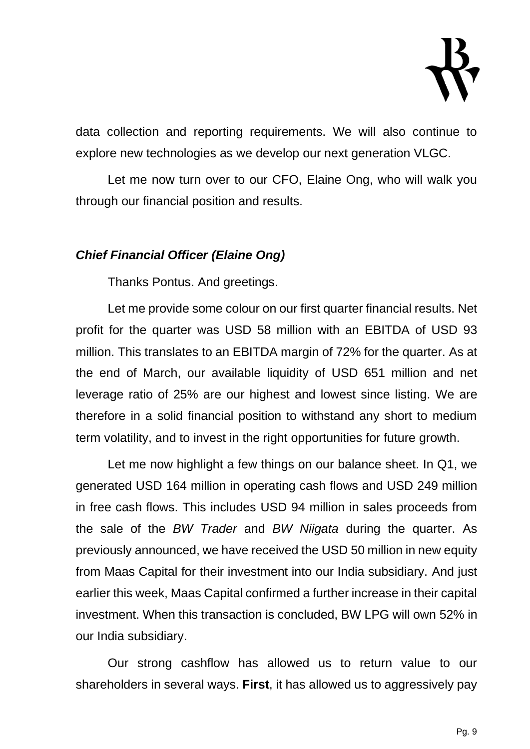

data collection and reporting requirements. We will also continue to explore new technologies as we develop our next generation VLGC.

Let me now turn over to our CFO, Elaine Ong, who will walk you through our financial position and results.

#### *Chief Financial Officer (Elaine Ong)*

Thanks Pontus. And greetings.

Let me provide some colour on our first quarter financial results. Net profit for the quarter was USD 58 million with an EBITDA of USD 93 million. This translates to an EBITDA margin of 72% for the quarter. As at the end of March, our available liquidity of USD 651 million and net leverage ratio of 25% are our highest and lowest since listing. We are therefore in a solid financial position to withstand any short to medium term volatility, and to invest in the right opportunities for future growth.

Let me now highlight a few things on our balance sheet. In Q1, we generated USD 164 million in operating cash flows and USD 249 million in free cash flows. This includes USD 94 million in sales proceeds from the sale of the *BW Trader* and *BW Niigata* during the quarter. As previously announced, we have received the USD 50 million in new equity from Maas Capital for their investment into our India subsidiary. And just earlier this week, Maas Capital confirmed a further increase in their capital investment. When this transaction is concluded, BW LPG will own 52% in our India subsidiary.

Our strong cashflow has allowed us to return value to our shareholders in several ways. **First**, it has allowed us to aggressively pay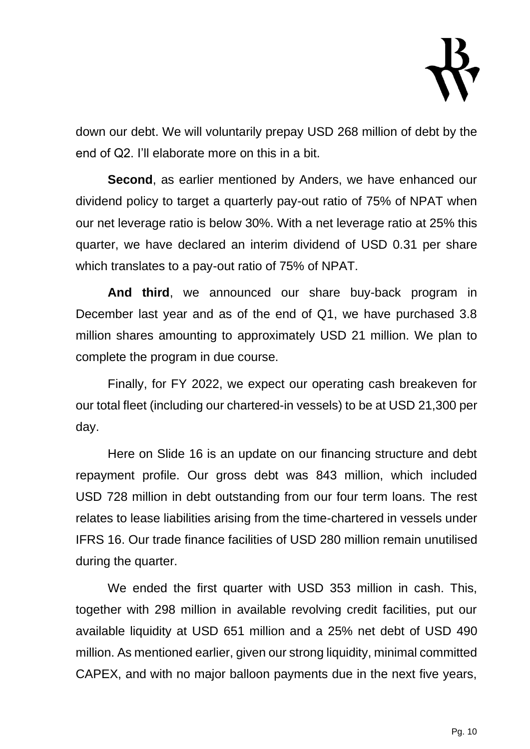

down our debt. We will voluntarily prepay USD 268 million of debt by the end of Q2. I'll elaborate more on this in a bit.

**Second**, as earlier mentioned by Anders, we have enhanced our dividend policy to target a quarterly pay-out ratio of 75% of NPAT when our net leverage ratio is below 30%. With a net leverage ratio at 25% this quarter, we have declared an interim dividend of USD 0.31 per share which translates to a pay-out ratio of 75% of NPAT.

**And third**, we announced our share buy-back program in December last year and as of the end of Q1, we have purchased 3.8 million shares amounting to approximately USD 21 million. We plan to complete the program in due course.

Finally, for FY 2022, we expect our operating cash breakeven for our total fleet (including our chartered-in vessels) to be at USD 21,300 per day.

Here on Slide 16 is an update on our financing structure and debt repayment profile. Our gross debt was 843 million, which included USD 728 million in debt outstanding from our four term loans. The rest relates to lease liabilities arising from the time-chartered in vessels under IFRS 16. Our trade finance facilities of USD 280 million remain unutilised during the quarter.

We ended the first quarter with USD 353 million in cash. This, together with 298 million in available revolving credit facilities, put our available liquidity at USD 651 million and a 25% net debt of USD 490 million. As mentioned earlier, given our strong liquidity, minimal committed CAPEX, and with no major balloon payments due in the next five years,